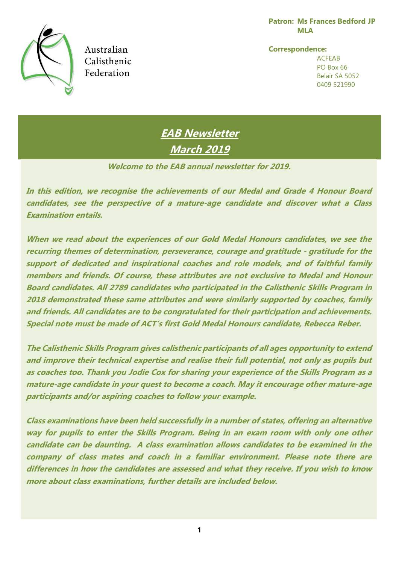**Patron: Ms Frances Bedford JP MLA**



Australian Calisthenic Federation

**Correspondence:** ACFEAB PO Box 66 Belair SA 5052 0409 521990

**EAB Newsletter March 2019**

**Welcome to the EAB annual newsletter for 2019.**

**In this edition, we recognise the achievements of our Medal and Grade 4 Honour Board candidates, see the perspective of a mature-age candidate and discover what a Class Examination entails.**

**When we read about the experiences of our Gold Medal Honours candidates, we see the recurring themes of determination, perseverance, courage and gratitude - gratitude for the support of dedicated and inspirational coaches and role models, and of faithful family members and friends. Of course, these attributes are not exclusive to Medal and Honour Board candidates. All 2789 candidates who participated in the Calisthenic Skills Program in 2018 demonstrated these same attributes and were similarly supported by coaches, family and friends. All candidates are to be congratulated for their participation and achievements. Special note must be made of ACT's first Gold Medal Honours candidate, Rebecca Reber.** 

**The Calisthenic Skills Program gives calisthenic participants of all ages opportunity to extend and improve their technical expertise and realise their full potential, not only as pupils but as coaches too. Thank you Jodie Cox for sharing your experience of the Skills Program as a mature-age candidate in your quest to become a coach. May it encourage other mature-age participants and/or aspiring coaches to follow your example.**

**Class examinations have been held successfully in a number of states, offering an alternative way for pupils to enter the Skills Program. Being in an exam room with only one other candidate can be daunting. A class examination allows candidates to be examined in the company of class mates and coach in a familiar environment. Please note there are differences in how the candidates are assessed and what they receive. If you wish to know more about class examinations, further details are included below.**

**1**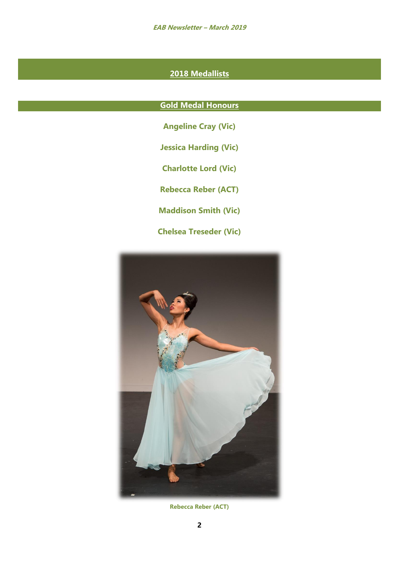**EAB Newsletter – March 2019**

# **2018 Medallists**

## **Gold Medal Honours**

- **Angeline Cray (Vic)**
- **Jessica Harding (Vic)**
- **Charlotte Lord (Vic)**
- **Rebecca Reber (ACT)**
- **Maddison Smith (Vic)**
- **Chelsea Treseder (Vic)**



**Rebecca Reber (ACT)**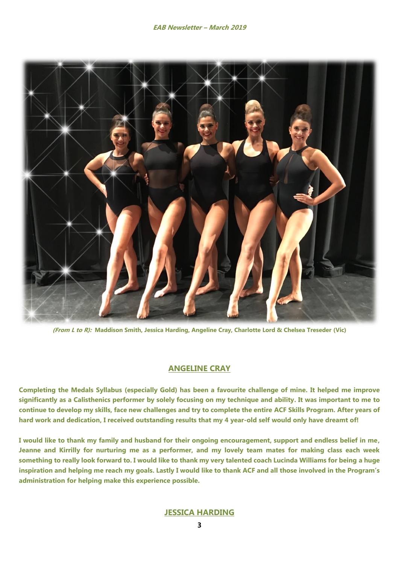

**(From L to R): Maddison Smith, Jessica Harding, Angeline Cray, Charlotte Lord & Chelsea Treseder (Vic)**

## **ANGELINE CRAY**

**Completing the Medals Syllabus (especially Gold) has been a favourite challenge of mine. It helped me improve significantly as a Calisthenics performer by solely focusing on my technique and ability. It was important to me to continue to develop my skills, face new challenges and try to complete the entire ACF Skills Program. After years of hard work and dedication, I received outstanding results that my 4 year-old self would only have dreamt of!**

**I would like to thank my family and husband for their ongoing encouragement, support and endless belief in me, Jeanne and Kirrilly for nurturing me as a performer, and my lovely team mates for making class each week something to really look forward to. I would like to thank my very talented coach Lucinda Williams for being a huge inspiration and helping me reach my goals. Lastly I would like to thank ACF and all those involved in the Program's administration for helping make this experience possible.** 

## **JESSICA HARDING**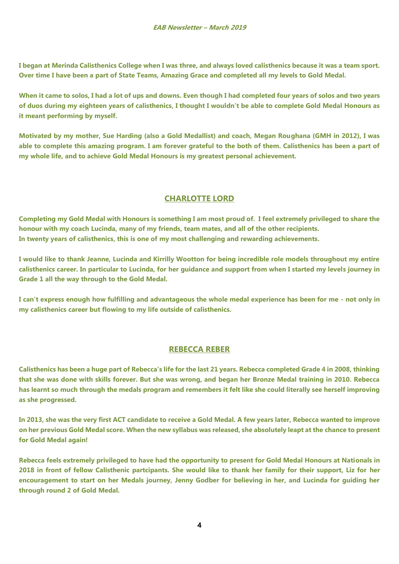**I began at Merinda Calisthenics College when I was three, and always loved calisthenics because it was a team sport. Over time I have been a part of State Teams, Amazing Grace and completed all my levels to Gold Medal.** 

**When it came to solos, I had a lot of ups and downs. Even though I had completed four years of solos and two years of duos during my eighteen years of calisthenics, I thought I wouldn't be able to complete Gold Medal Honours as it meant performing by myself.** 

**Motivated by my mother, Sue Harding (also a Gold Medallist) and coach, Megan Roughana (GMH in 2012), I was able to complete this amazing program. I am forever grateful to the both of them. Calisthenics has been a part of my whole life, and to achieve Gold Medal Honours is my greatest personal achievement.**

# **CHARLOTTE LORD**

**Completing my Gold Medal with Honours is something I am most proud of. I feel extremely privileged to share the honour with my coach Lucinda, many of my friends, team mates, and all of the other recipients. In twenty years of calisthenics, this is one of my most challenging and rewarding achievements.**

**I would like to thank Jeanne, Lucinda and Kirrilly Wootton for being incredible role models throughout my entire calisthenics career. In particular to Lucinda, for her guidance and support from when I started my levels journey in Grade 1 all the way through to the Gold Medal.**

**I can't express enough how fulfilling and advantageous the whole medal experience has been for me - not only in my calisthenics career but flowing to my life outside of calisthenics.**

## **REBECCA REBER**

**Calisthenics has been a huge part of Rebecca's life for the last 21 years. Rebecca completed Grade 4 in 2008, thinking that she was done with skills forever. But she was wrong, and began her Bronze Medal training in 2010. Rebecca has learnt so much through the medals program and remembers it felt like she could literally see herself improving as she progressed.**

**In 2013, she was the very first ACT candidate to receive a Gold Medal. A few years later, Rebecca wanted to improve on her previous Gold Medal score. When the new syllabus was released, she absolutely leapt at the chance to present for Gold Medal again!**

**Rebecca feels extremely privileged to have had the opportunity to present for Gold Medal Honours at Nationals in 2018 in front of fellow Calisthenic partcipants. She would like to thank her family for their support, Liz for her encouragement to start on her Medals journey, Jenny Godber for believing in her, and Lucinda for guiding her through round 2 of Gold Medal.**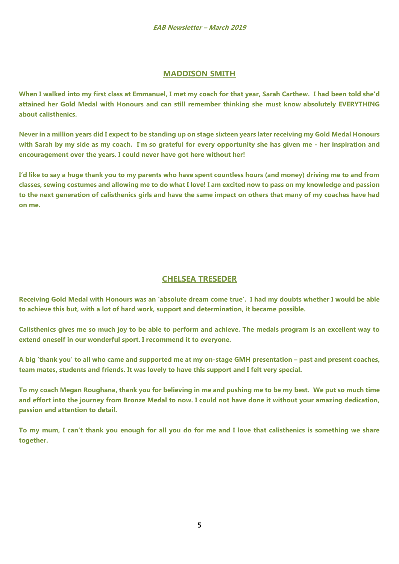## **MADDISON SMITH**

**When I walked into my first class at Emmanuel, I met my coach for that year, Sarah Carthew. I had been told she'd attained her Gold Medal with Honours and can still remember thinking she must know absolutely EVERYTHING about calisthenics.** 

**Never in a million years did I expect to be standing up on stage sixteen years later receiving my Gold Medal Honours with Sarah by my side as my coach. I'm so grateful for every opportunity she has given me - her inspiration and encouragement over the years. I could never have got here without her!** 

**I'd like to say a huge thank you to my parents who have spent countless hours (and money) driving me to and from classes, sewing costumes and allowing me to do what I love! I am excited now to pass on my knowledge and passion to the next generation of calisthenics girls and have the same impact on others that many of my coaches have had on me.**

## **CHELSEA TRESEDER**

**Receiving Gold Medal with Honours was an 'absolute dream come true'. I had my doubts whether I would be able to achieve this but, with a lot of hard work, support and determination, it became possible.** 

**Calisthenics gives me so much joy to be able to perform and achieve. The medals program is an excellent way to extend oneself in our wonderful sport. I recommend it to everyone.**

**A big 'thank you' to all who came and supported me at my on-stage GMH presentation – past and present coaches, team mates, students and friends. It was lovely to have this support and I felt very special.**

**To my coach Megan Roughana, thank you for believing in me and pushing me to be my best. We put so much time and effort into the journey from Bronze Medal to now. I could not have done it without your amazing dedication, passion and attention to detail.**

**To my mum, I can't thank you enough for all you do for me and I love that calisthenics is something we share together.**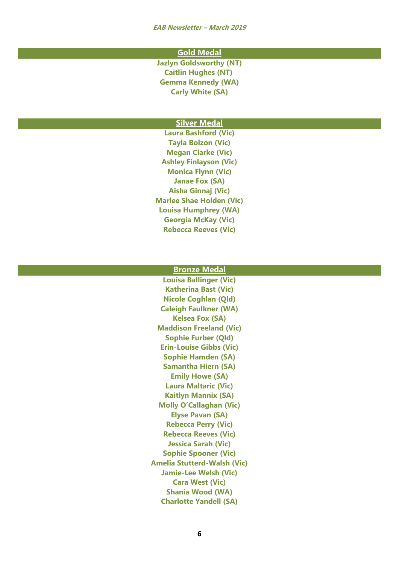**EAB Newsletter – March 2019**

#### **Gold Medal**

**Jazlyn Goldsworthy (NT) Caitlin Hughes (NT) Gemma Kennedy (WA) Carly White (SA)**

#### **Silver Medal**

**Laura Bashford (Vic) Tayla Bolzon (Vic) Megan Clarke (Vic) Ashley Finlayson (Vic) Monica Flynn (Vic) Janae Fox (SA) Aisha Ginnaj (Vic) Marlee Shae Holden (Vic) Louisa Humphrey (WA) Georgia McKay (Vic) Rebecca Reeves (Vic)**

#### **Bronze Medal**

**Louisa Ballinger (Vic) Katherina Bast (Vic) Nicole Coghlan (Qld) Caleigh Faulkner (WA) Kelsea Fox (SA) Maddison Freeland (Vic) Sophie Furber (Qld) Erin-Louise Gibbs (Vic) Sophie Hamden (SA) Samantha Hiern (SA) Emily Howe (SA) Laura Maltaric (Vic) Kaitlyn Mannix (SA) Molly O'Callaghan (Vic) Elyse Pavan (SA) Rebecca Perry (Vic) Rebecca Reeves (Vic) Jessica Sarah (Vic) Sophie Spooner (Vic) Amelia Stutterd-Walsh (Vic) Jamie-Lee Welsh (Vic) Cara West (Vic) Shania Wood (WA) Charlotte Yandell (SA)**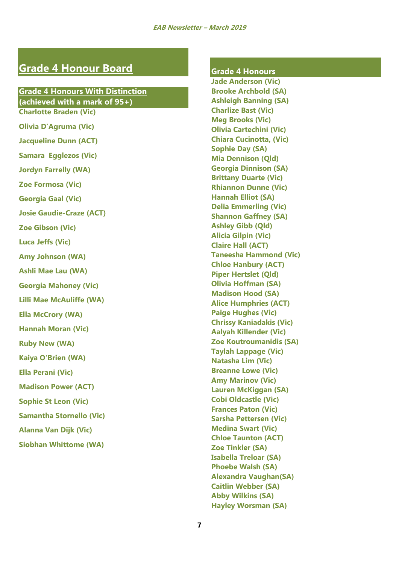# **Grade 4 Honour Board**

## **Grade 4 Honours With Distinction (achieved with a mark of 95+) Charlotte Braden (Vic)**

**Olivia D'Agruma (Vic) Jacqueline Dunn (ACT) Samara Egglezos (Vic) Jordyn Farrelly (WA) Zoe Formosa (Vic) Georgia Gaal (Vic) Josie Gaudie-Craze (ACT) Zoe Gibson (Vic) Luca Jeffs (Vic) Amy Johnson (WA) Ashli Mae Lau (WA) Georgia Mahoney (Vic) Lilli Mae McAuliffe (WA) Ella McCrory (WA) Hannah Moran (Vic) Ruby New (WA) Kaiya O'Brien (WA) Ella Perani (Vic) Madison Power (ACT) Sophie St Leon (Vic) Samantha Stornello (Vic) Alanna Van Dijk (Vic) Siobhan Whittome (WA)**

## **Grade 4 Honours**

**Jade Anderson (Vic) Brooke Archbold (SA) Ashleigh Banning (SA) Charlize Bast (Vic) Meg Brooks (Vic) Olivia Cartechini (Vic) Chiara Cucinotta, (Vic) Sophie Day (SA) Mia Dennison (Qld) Georgia Dinnison (SA) Brittany Duarte (Vic) Rhiannon Dunne (Vic) Hannah Elliot (SA) Delia Emmerling (Vic) Shannon Gaffney (SA) Ashley Gibb (Qld) Alicia Gilpin (Vic) Claire Hall (ACT) Taneesha Hammond (Vic) Chloe Hanbury (ACT) Piper Hertslet (Qld) Olivia Hoffman (SA) Madison Hood (SA) Alice Humphries (ACT) Paige Hughes (Vic) Chrissy Kaniadakis (Vic) Aalyah Killender (Vic) Zoe Koutroumanidis (SA) Taylah Lappage (Vic) Natasha Lim (Vic) Breanne Lowe (Vic) Amy Marinov (Vic) Lauren McKiggan (SA) Cobi Oldcastle (Vic) Frances Paton (Vic) Sarsha Pettersen (Vic) Medina Swart (Vic) Chloe Taunton (ACT) Zoe Tinkler (SA) Isabella Treloar (SA) Phoebe Walsh (SA) Alexandra Vaughan(SA) Caitlin Webber (SA) Abby Wilkins (SA) Hayley Worsman (SA)**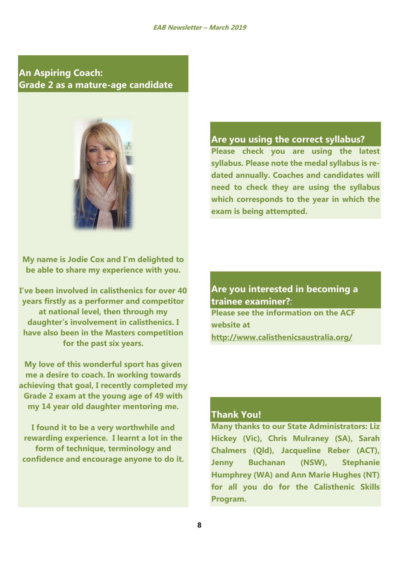**An Aspiring Coach: Grade 2 as a mature-age candidate**



**My name is Jodie Cox and I'm delighted to be able to share my experience with you.**

**I've been involved in calisthenics for over 40 years firstly as a performer and competitor at national level, then through my daughter's involvement in calisthenics. I have also been in the Masters competition for the past six years.**

**My love of this wonderful sport has given me a desire to coach. In working towards achieving that goal, I recently completed my Grade 2 exam at the young age of 49 with my 14 year old daughter mentoring me.**

**I found it to be a very worthwhile and rewarding experience. I learnt a lot in the form of technique, terminology and confidence and encourage anyone to do it.**

## **Are you using the correct syllabus?**

**Please check you are using the latest syllabus. Please note the medal syllabus is redated annually. Coaches and candidates will need to check they are using the syllabus which corresponds to the year in which the exam is being attempted.**

**Are you interested in becoming a trainee examiner?**: **Please see the information on the ACF website at <http://www.calisthenicsaustralia.org/>**

## **Thank You!**

**Many thanks to our State Administrators: Liz Hickey (Vic), Chris Mulraney (SA), Sarah Chalmers (Qld), Jacqueline Reber (ACT), Jenny Buchanan (NSW), Stephanie Humphrey (WA) and Ann Marie Hughes (NT) for all you do for the Calisthenic Skills Program.**